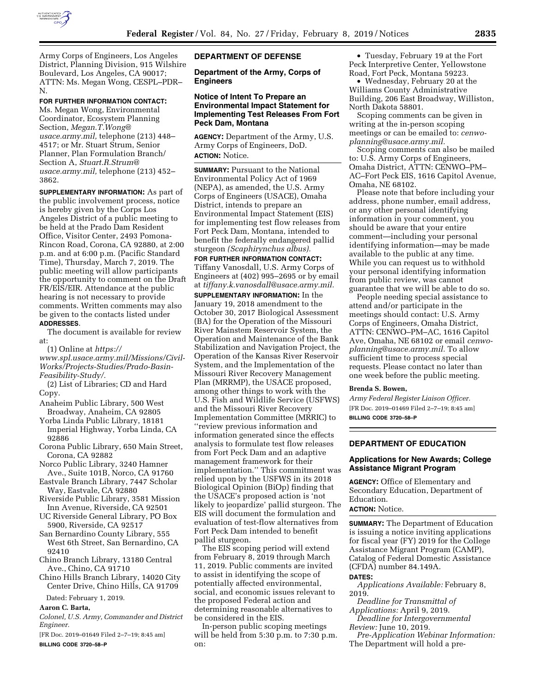

Army Corps of Engineers, Los Angeles District, Planning Division, 915 Wilshire Boulevard, Los Angeles, CA 90017; ATTN: Ms. Megan Wong, CESPL–PDR– N.

## **FOR FURTHER INFORMATION CONTACT:**

Ms. Megan Wong, Environmental Coordinator, Ecosystem Planning Section, *[Megan.T.Wong@](mailto:Megan.T.Wong@usace.army.mil) [usace.army.mil,](mailto:Megan.T.Wong@usace.army.mil)* telephone (213) 448– 4517; or Mr. Stuart Strum, Senior Planner, Plan Formulation Branch/ Section A, *[Stuart.R.Strum@](mailto:Stuart.R.Strum@usace.army.mil) [usace.army.mil,](mailto:Stuart.R.Strum@usace.army.mil)* telephone (213) 452– 3862.

**SUPPLEMENTARY INFORMATION:** As part of the public involvement process, notice is hereby given by the Corps Los Angeles District of a public meeting to be held at the Prado Dam Resident Office, Visitor Center, 2493 Pomona-Rincon Road, Corona, CA 92880, at 2:00 p.m. and at 6:00 p.m. (Pacific Standard Time), Thursday, March 7, 2019. The public meeting will allow participants the opportunity to comment on the Draft FR/EIS/EIR. Attendance at the public hearing is not necessary to provide comments. Written comments may also be given to the contacts listed under **ADDRESSES**.

The document is available for review at:

(1) Online at *[https://](https://www.spl.usace.army.mil/Missions/Civil-Works/Projects-Studies/Prado-Basin-Feasibility-Study/)*

*[www.spl.usace.army.mil/Missions/Civil-](https://www.spl.usace.army.mil/Missions/Civil-Works/Projects-Studies/Prado-Basin-Feasibility-Study/)[Works/Projects-Studies/Prado-Basin-](https://www.spl.usace.army.mil/Missions/Civil-Works/Projects-Studies/Prado-Basin-Feasibility-Study/)[Feasibility-Study/.](https://www.spl.usace.army.mil/Missions/Civil-Works/Projects-Studies/Prado-Basin-Feasibility-Study/)* 

(2) List of Libraries; CD and Hard Copy.

- Anaheim Public Library, 500 West Broadway, Anaheim, CA 92805
- Yorba Linda Public Library, 18181 Imperial Highway, Yorba Linda, CA 92886
- Corona Public Library, 650 Main Street, Corona, CA 92882
- Norco Public Library, 3240 Hamner Ave., Suite 101B, Norco, CA 91760
- Eastvale Branch Library, 7447 Scholar Way, Eastvale, CA 92880
- Riverside Public Library, 3581 Mission Inn Avenue, Riverside, CA 92501
- UC Riverside General Library, PO Box 5900, Riverside, CA 92517
- San Bernardino County Library, 555 West 6th Street, San Bernardino, CA 92410
- Chino Branch Library, 13180 Central Ave., Chino, CA 91710
- Chino Hills Branch Library, 14020 City Center Drive, Chino Hills, CA 91709

Dated: February 1, 2019.

**Aaron C. Barta,** 

*Colonel, U.S. Army, Commander and District Engineer.* 

[FR Doc. 2019–01649 Filed 2–7–19; 8:45 am] **BILLING CODE 3720–58–P** 

# **DEPARTMENT OF DEFENSE**

**Department of the Army, Corps of Engineers** 

# **Notice of Intent To Prepare an Environmental Impact Statement for Implementing Test Releases From Fort Peck Dam, Montana**

**AGENCY:** Department of the Army, U.S. Army Corps of Engineers, DoD. **ACTION:** Notice.

**SUMMARY:** Pursuant to the National Environmental Policy Act of 1969 (NEPA), as amended, the U.S. Army Corps of Engineers (USACE), Omaha District, intends to prepare an Environmental Impact Statement (EIS) for implementing test flow releases from Fort Peck Dam, Montana, intended to benefit the federally endangered pallid sturgeon *(Scaphirynchus albus).* 

**FOR FURTHER INFORMATION CONTACT:**  Tiffany Vanosdall, U.S. Army Corps of Engineers at (402) 995–2695 or by email at *[tiffany.k.vanosdall@usace.army.mil.](mailto:tiffany.k.vanosdall@usace.army.mil)* 

**SUPPLEMENTARY INFORMATION:** In the January 19, 2018 amendment to the October 30, 2017 Biological Assessment (BA) for the Operation of the Missouri River Mainstem Reservoir System, the Operation and Maintenance of the Bank Stabilization and Navigation Project, the Operation of the Kansas River Reservoir System, and the Implementation of the Missouri River Recovery Management Plan (MRRMP), the USACE proposed, among other things to work with the U.S. Fish and Wildlife Service (USFWS) and the Missouri River Recovery Implementation Committee (MRRIC) to ''review previous information and information generated since the effects analysis to formulate test flow releases from Fort Peck Dam and an adaptive management framework for their implementation.'' This commitment was relied upon by the USFWS in its 2018 Biological Opinion (BiOp) finding that the USACE's proposed action is 'not likely to jeopardize' pallid sturgeon. The EIS will document the formulation and evaluation of test-flow alternatives from Fort Peck Dam intended to benefit pallid sturgeon.

The EIS scoping period will extend from February 8, 2019 through March 11, 2019. Public comments are invited to assist in identifying the scope of potentially affected environmental, social, and economic issues relevant to the proposed Federal action and determining reasonable alternatives to be considered in the EIS.

In-person public scoping meetings will be held from 5:30 p.m. to 7:30 p.m. on:

• Tuesday, February 19 at the Fort Peck Interpretive Center, Yellowstone Road, Fort Peck, Montana 59223.

• Wednesday, February 20 at the Williams County Administrative Building, 206 East Broadway, Williston, North Dakota 58801.

Scoping comments can be given in writing at the in-person scoping meetings or can be emailed to: *[cenwo](mailto:cenwo-planning@usace.army.mil)[planning@usace.army.mil.](mailto:cenwo-planning@usace.army.mil)* 

Scoping comments can also be mailed to: U.S. Army Corps of Engineers, Omaha District, ATTN: CENWO–PM– AC–Fort Peck EIS, 1616 Capitol Avenue, Omaha, NE 68102.

Please note that before including your address, phone number, email address, or any other personal identifying information in your comment, you should be aware that your entire comment—including your personal identifying information—may be made available to the public at any time. While you can request us to withhold your personal identifying information from public review, was cannot guarantee that we will be able to do so.

People needing special assistance to attend and/or participate in the meetings should contact: U.S. Army Corps of Engineers, Omaha District, ATTN: CENWO–PM–AC, 1616 Capitol Ave, Omaha, NE 68102 or email *[cenwo](mailto:cenwo-planning@usace.army.mil)[planning@usace.army.mil.](mailto:cenwo-planning@usace.army.mil)* To allow sufficient time to process special requests. Please contact no later than one week before the public meeting.

#### **Brenda S. Bowen,**

*Army Federal Register Liaison Officer.*  [FR Doc. 2019–01469 Filed 2–7–19; 8:45 am] **BILLING CODE 3720–58–P** 

# **DEPARTMENT OF EDUCATION**

## **Applications for New Awards; College Assistance Migrant Program**

**AGENCY:** Office of Elementary and Secondary Education, Department of Education.

**ACTION:** Notice.

**SUMMARY:** The Department of Education is issuing a notice inviting applications for fiscal year (FY) 2019 for the College Assistance Migrant Program (CAMP), Catalog of Federal Domestic Assistance (CFDA) number 84.149A.

**DATES:** 

*Applications Available:* February 8, 2019.

*Deadline for Transmittal of Applications:* April 9, 2019.

*Deadline for Intergovernmental Review:* June 10, 2019.

*Pre-Application Webinar Information:*  The Department will hold a pre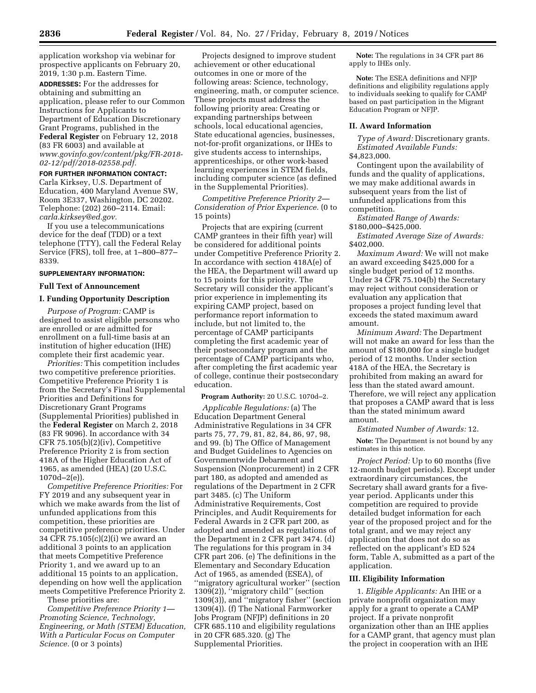application workshop via webinar for prospective applicants on February 20, 2019, 1:30 p.m. Eastern Time.

**ADDRESSES:** For the addresses for obtaining and submitting an application, please refer to our Common Instructions for Applicants to Department of Education Discretionary Grant Programs, published in the **Federal Register** on February 12, 2018 (83 FR 6003) and available at *[www.govinfo.gov/content/pkg/FR-2018-](http://www.govinfo.gov/content/pkg/FR-2018-02-12/pdf/2018-02558.pdf) [02-12/pdf/2018-02558.pdf.](http://www.govinfo.gov/content/pkg/FR-2018-02-12/pdf/2018-02558.pdf)* 

# **FOR FURTHER INFORMATION CONTACT:**  Carla Kirksey, U.S. Department of Education, 400 Maryland Avenue SW, Room 3E337, Washington, DC 20202. Telephone: (202) 260–2114. Email:

*[carla.kirksey@ed.gov.](mailto:carla.kirksey@ed.gov)*  If you use a telecommunications device for the deaf (TDD) or a text telephone (TTY), call the Federal Relay Service (FRS), toll free, at 1–800–877– 8339.

## **SUPPLEMENTARY INFORMATION:**

# **Full Text of Announcement**

# **I. Funding Opportunity Description**

*Purpose of Program:* CAMP is designed to assist eligible persons who are enrolled or are admitted for enrollment on a full-time basis at an institution of higher education (IHE) complete their first academic year.

*Priorities:* This competition includes two competitive preference priorities. Competitive Preference Priority 1 is from the Secretary's Final Supplemental Priorities and Definitions for Discretionary Grant Programs (Supplemental Priorities) published in the **Federal Register** on March 2, 2018 (83 FR 9096). In accordance with 34 CFR 75.105(b)(2)(iv), Competitive Preference Priority 2 is from section 418A of the Higher Education Act of 1965, as amended (HEA) (20 U.S.C. 1070d–2(e)).

*Competitive Preference Priorities:* For FY 2019 and any subsequent year in which we make awards from the list of unfunded applications from this competition, these priorities are competitive preference priorities. Under 34 CFR 75.105(c)(2)(i) we award an additional 3 points to an application that meets Competitive Preference Priority 1, and we award up to an additional 15 points to an application, depending on how well the application meets Competitive Preference Priority 2.

These priorities are:

*Competitive Preference Priority 1— Promoting Science, Technology, Engineering, or Math (STEM) Education, With a Particular Focus on Computer Science.* (0 or 3 points)

Projects designed to improve student achievement or other educational outcomes in one or more of the following areas: Science, technology, engineering, math, or computer science. These projects must address the following priority area: Creating or expanding partnerships between schools, local educational agencies, State educational agencies, businesses, not-for-profit organizations, or IHEs to give students access to internships, apprenticeships, or other work-based learning experiences in STEM fields, including computer science (as defined in the Supplemental Priorities).

*Competitive Preference Priority 2— Consideration of Prior Experience.* (0 to 15 points)

Projects that are expiring (current CAMP grantees in their fifth year) will be considered for additional points under Competitive Preference Priority 2. In accordance with section 418A(e) of the HEA, the Department will award up to 15 points for this priority. The Secretary will consider the applicant's prior experience in implementing its expiring CAMP project, based on performance report information to include, but not limited to, the percentage of CAMP participants completing the first academic year of their postsecondary program and the percentage of CAMP participants who, after completing the first academic year of college, continue their postsecondary education.

**Program Authority:** 20 U.S.C. 1070d–2.

*Applicable Regulations:* (a) The Education Department General Administrative Regulations in 34 CFR parts 75, 77, 79, 81, 82, 84, 86, 97, 98, and 99. (b) The Office of Management and Budget Guidelines to Agencies on Governmentwide Debarment and Suspension (Nonprocurement) in 2 CFR part 180, as adopted and amended as regulations of the Department in 2 CFR part 3485. (c) The Uniform Administrative Requirements, Cost Principles, and Audit Requirements for Federal Awards in 2 CFR part 200, as adopted and amended as regulations of the Department in 2 CFR part 3474. (d) The regulations for this program in 34 CFR part 206. (e) The definitions in the Elementary and Secondary Education Act of 1965, as amended (ESEA), of ''migratory agricultural worker'' (section 1309(2)), ''migratory child'' (section 1309(3)), and ''migratory fisher'' (section 1309(4)). (f) The National Farmworker Jobs Program (NFJP) definitions in 20 CFR 685.110 and eligibility regulations in 20 CFR 685.320. (g) The Supplemental Priorities.

**Note:** The regulations in 34 CFR part 86 apply to IHEs only.

**Note:** The ESEA definitions and NFJP definitions and eligibility regulations apply to individuals seeking to qualify for CAMP based on past participation in the Migrant Education Program or NFJP.

#### **II. Award Information**

*Type of Award:* Discretionary grants. *Estimated Available Funds:*  \$4,823,000.

Contingent upon the availability of funds and the quality of applications, we may make additional awards in subsequent years from the list of unfunded applications from this competition.

*Estimated Range of Awards:*  \$180,000–\$425,000.

*Estimated Average Size of Awards:*  \$402,000.

*Maximum Award:* We will not make an award exceeding \$425,000 for a single budget period of 12 months. Under 34 CFR 75.104(b) the Secretary may reject without consideration or evaluation any application that proposes a project funding level that exceeds the stated maximum award amount.

*Minimum Award:* The Department will not make an award for less than the amount of \$180,000 for a single budget period of 12 months. Under section 418A of the HEA, the Secretary is prohibited from making an award for less than the stated award amount. Therefore, we will reject any application that proposes a CAMP award that is less than the stated minimum award amount.

*Estimated Number of Awards:* 12.

**Note:** The Department is not bound by any estimates in this notice.

*Project Period:* Up to 60 months (five 12-month budget periods). Except under extraordinary circumstances, the Secretary shall award grants for a fiveyear period. Applicants under this competition are required to provide detailed budget information for each year of the proposed project and for the total grant, and we may reject any application that does not do so as reflected on the applicant's ED 524 form, Table A, submitted as a part of the application.

## **III. Eligibility Information**

1. *Eligible Applicants:* An IHE or a private nonprofit organization may apply for a grant to operate a CAMP project. If a private nonprofit organization other than an IHE applies for a CAMP grant, that agency must plan the project in cooperation with an IHE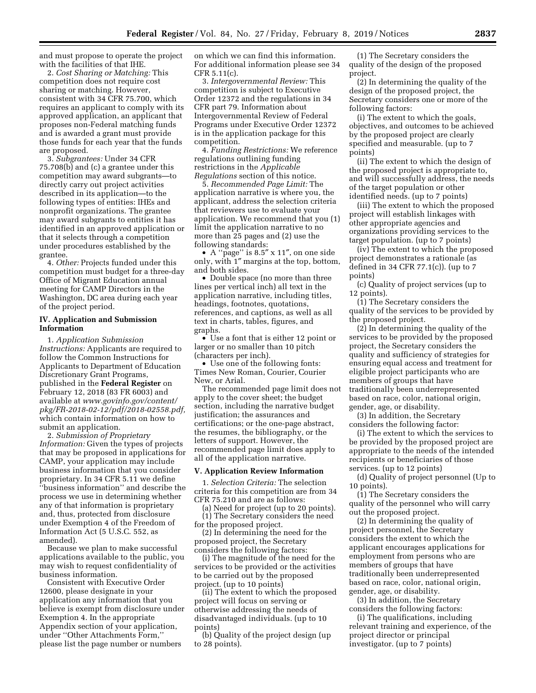and must propose to operate the project with the facilities of that IHE.

2. *Cost Sharing or Matching:* This competition does not require cost sharing or matching. However, consistent with 34 CFR 75.700, which requires an applicant to comply with its approved application, an applicant that proposes non-Federal matching funds and is awarded a grant must provide those funds for each year that the funds are proposed.

3. *Subgrantees:* Under 34 CFR 75.708(b) and (c) a grantee under this competition may award subgrants—to directly carry out project activities described in its application—to the following types of entities: IHEs and nonprofit organizations. The grantee may award subgrants to entities it has identified in an approved application or that it selects through a competition under procedures established by the grantee.

4. *Other:* Projects funded under this competition must budget for a three-day Office of Migrant Education annual meeting for CAMP Directors in the Washington, DC area during each year of the project period.

## **IV. Application and Submission Information**

1. *Application Submission Instructions:* Applicants are required to follow the Common Instructions for Applicants to Department of Education Discretionary Grant Programs, published in the **Federal Register** on February 12, 2018 (83 FR 6003) and available at *[www.govinfo.gov/content/](http://www.govinfo.gov/content/pkg/FR-2018-02-12/pdf/2018-02558.pdf)  [pkg/FR-2018-02-12/pdf/2018-02558.pdf,](http://www.govinfo.gov/content/pkg/FR-2018-02-12/pdf/2018-02558.pdf)*  which contain information on how to submit an application.

2. *Submission of Proprietary Information:* Given the types of projects that may be proposed in applications for CAMP, your application may include business information that you consider proprietary. In 34 CFR 5.11 we define ''business information'' and describe the process we use in determining whether any of that information is proprietary and, thus, protected from disclosure under Exemption 4 of the Freedom of Information Act (5 U.S.C. 552, as amended).

Because we plan to make successful applications available to the public, you may wish to request confidentiality of business information.

Consistent with Executive Order 12600, please designate in your application any information that you believe is exempt from disclosure under Exemption 4. In the appropriate Appendix section of your application, under ''Other Attachments Form,'' please list the page number or numbers

on which we can find this information. For additional information please see 34 CFR 5.11(c).

3. *Intergovernmental Review:* This competition is subject to Executive Order 12372 and the regulations in 34 CFR part 79. Information about Intergovernmental Review of Federal Programs under Executive Order 12372 is in the application package for this competition.

4. *Funding Restrictions:* We reference regulations outlining funding restrictions in the *Applicable Regulations* section of this notice.

5. *Recommended Page Limit:* The application narrative is where you, the applicant, address the selection criteria that reviewers use to evaluate your application. We recommend that you (1) limit the application narrative to no more than 25 pages and (2) use the following standards:

• A ''page'' is 8.5″ x 11″, on one side only, with 1″ margins at the top, bottom, and both sides.

• Double space (no more than three lines per vertical inch) all text in the application narrative, including titles, headings, footnotes, quotations, references, and captions, as well as all text in charts, tables, figures, and graphs.

• Use a font that is either 12 point or larger or no smaller than 10 pitch (characters per inch).

• Use one of the following fonts: Times New Roman, Courier, Courier New, or Arial.

The recommended page limit does not apply to the cover sheet; the budget section, including the narrative budget justification; the assurances and certifications; or the one-page abstract, the resumes, the bibliography, or the letters of support. However, the recommended page limit does apply to all of the application narrative.

## **V. Application Review Information**

1. *Selection Criteria:* The selection criteria for this competition are from 34 CFR 75.210 and are as follows:

(a) Need for project (up to 20 points). (1) The Secretary considers the need for the proposed project.

(2) In determining the need for the proposed project, the Secretary considers the following factors:

(i) The magnitude of the need for the services to be provided or the activities to be carried out by the proposed project. (up to 10 points)

(ii) The extent to which the proposed project will focus on serving or otherwise addressing the needs of disadvantaged individuals. (up to 10 points)

(b) Quality of the project design (up to 28 points).

(1) The Secretary considers the quality of the design of the proposed project.

(2) In determining the quality of the design of the proposed project, the Secretary considers one or more of the following factors:

(i) The extent to which the goals, objectives, and outcomes to be achieved by the proposed project are clearly specified and measurable. (up to 7 points)

(ii) The extent to which the design of the proposed project is appropriate to, and will successfully address, the needs of the target population or other identified needs. (up to 7 points)

(iii) The extent to which the proposed project will establish linkages with other appropriate agencies and organizations providing services to the target population. (up to 7 points)

(iv) The extent to which the proposed project demonstrates a rationale (as defined in 34 CFR 77.1(c)). (up to 7 points)

(c) Quality of project services (up to 12 points).

(1) The Secretary considers the quality of the services to be provided by the proposed project.

(2) In determining the quality of the services to be provided by the proposed project, the Secretary considers the quality and sufficiency of strategies for ensuring equal access and treatment for eligible project participants who are members of groups that have traditionally been underrepresented based on race, color, national origin, gender, age, or disability.

(3) In addition, the Secretary considers the following factor:

(i) The extent to which the services to be provided by the proposed project are appropriate to the needs of the intended recipients or beneficiaries of those services. (up to 12 points)

(d) Quality of project personnel (Up to 10 points).

(1) The Secretary considers the quality of the personnel who will carry out the proposed project.

(2) In determining the quality of project personnel, the Secretary considers the extent to which the applicant encourages applications for employment from persons who are members of groups that have traditionally been underrepresented based on race, color, national origin, gender, age, or disability.

(3) In addition, the Secretary considers the following factors:

(i) The qualifications, including relevant training and experience, of the project director or principal investigator. (up to 7 points)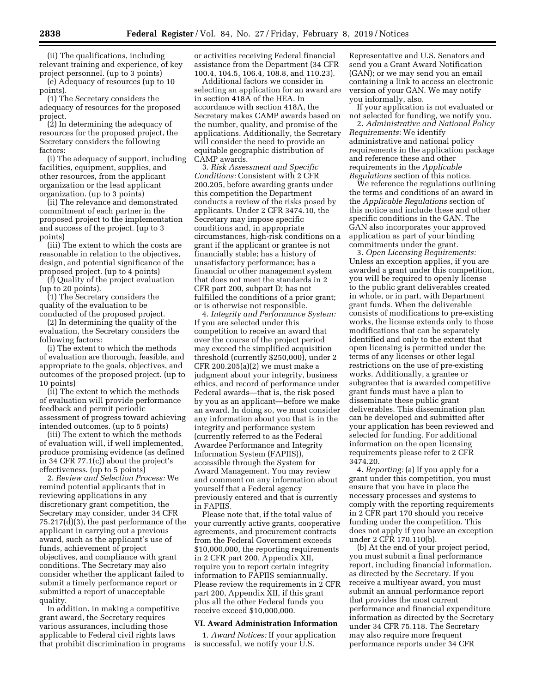(ii) The qualifications, including relevant training and experience, of key project personnel. (up to 3 points)

(e) Adequacy of resources (up to 10 points).

(1) The Secretary considers the adequacy of resources for the proposed project.

(2) In determining the adequacy of resources for the proposed project, the Secretary considers the following factors:

(i) The adequacy of support, including facilities, equipment, supplies, and other resources, from the applicant organization or the lead applicant organization. (up to 3 points)

(ii) The relevance and demonstrated commitment of each partner in the proposed project to the implementation and success of the project. (up to 3 points)

(iii) The extent to which the costs are reasonable in relation to the objectives, design, and potential significance of the proposed project. (up to 4 points)

(f) Quality of the project evaluation (up to 20 points).

(1) The Secretary considers the quality of the evaluation to be conducted of the proposed project.

(2) In determining the quality of the evaluation, the Secretary considers the following factors:

(i) The extent to which the methods of evaluation are thorough, feasible, and appropriate to the goals, objectives, and outcomes of the proposed project. (up to 10 points)

(ii) The extent to which the methods of evaluation will provide performance feedback and permit periodic assessment of progress toward achieving intended outcomes. (up to 5 points)

(iii) The extent to which the methods of evaluation will, if well implemented, produce promising evidence (as defined in 34 CFR 77.1(c)) about the project's effectiveness. (up to 5 points)

2. *Review and Selection Process:* We remind potential applicants that in reviewing applications in any discretionary grant competition, the Secretary may consider, under 34 CFR 75.217(d)(3), the past performance of the applicant in carrying out a previous award, such as the applicant's use of funds, achievement of project objectives, and compliance with grant conditions. The Secretary may also consider whether the applicant failed to submit a timely performance report or submitted a report of unacceptable quality.

In addition, in making a competitive grant award, the Secretary requires various assurances, including those applicable to Federal civil rights laws that prohibit discrimination in programs or activities receiving Federal financial assistance from the Department (34 CFR 100.4, 104.5, 106.4, 108.8, and 110.23).

Additional factors we consider in selecting an application for an award are in section 418A of the HEA. In accordance with section 418A, the Secretary makes CAMP awards based on the number, quality, and promise of the applications. Additionally, the Secretary will consider the need to provide an equitable geographic distribution of CAMP awards.

3. *Risk Assessment and Specific Conditions:* Consistent with 2 CFR 200.205, before awarding grants under this competition the Department conducts a review of the risks posed by applicants. Under 2 CFR 3474.10, the Secretary may impose specific conditions and, in appropriate circumstances, high-risk conditions on a grant if the applicant or grantee is not financially stable; has a history of unsatisfactory performance; has a financial or other management system that does not meet the standards in 2 CFR part 200, subpart D; has not fulfilled the conditions of a prior grant; or is otherwise not responsible.

4. *Integrity and Performance System:*  If you are selected under this competition to receive an award that over the course of the project period may exceed the simplified acquisition threshold (currently \$250,000), under 2 CFR 200.205(a)(2) we must make a judgment about your integrity, business ethics, and record of performance under Federal awards—that is, the risk posed by you as an applicant—before we make an award. In doing so, we must consider any information about you that is in the integrity and performance system (currently referred to as the Federal Awardee Performance and Integrity Information System (FAPIIS)), accessible through the System for Award Management. You may review and comment on any information about yourself that a Federal agency previously entered and that is currently in FAPIIS.

Please note that, if the total value of your currently active grants, cooperative agreements, and procurement contracts from the Federal Government exceeds \$10,000,000, the reporting requirements in 2 CFR part 200, Appendix XII, require you to report certain integrity information to FAPIIS semiannually. Please review the requirements in 2 CFR part 200, Appendix XII, if this grant plus all the other Federal funds you receive exceed \$10,000,000.

## **VI. Award Administration Information**

1. *Award Notices:* If your application is successful, we notify your U.S.

Representative and U.S. Senators and send you a Grant Award Notification (GAN); or we may send you an email containing a link to access an electronic version of your GAN. We may notify you informally, also.

If your application is not evaluated or not selected for funding, we notify you.

2. *Administrative and National Policy Requirements:* We identify administrative and national policy requirements in the application package and reference these and other requirements in the *Applicable Regulations* section of this notice.

We reference the regulations outlining the terms and conditions of an award in the *Applicable Regulations* section of this notice and include these and other specific conditions in the GAN. The GAN also incorporates your approved application as part of your binding commitments under the grant.

3. *Open Licensing Requirements:*  Unless an exception applies, if you are awarded a grant under this competition, you will be required to openly license to the public grant deliverables created in whole, or in part, with Department grant funds. When the deliverable consists of modifications to pre-existing works, the license extends only to those modifications that can be separately identified and only to the extent that open licensing is permitted under the terms of any licenses or other legal restrictions on the use of pre-existing works. Additionally, a grantee or subgrantee that is awarded competitive grant funds must have a plan to disseminate these public grant deliverables. This dissemination plan can be developed and submitted after your application has been reviewed and selected for funding. For additional information on the open licensing requirements please refer to 2 CFR 3474.20.

4. *Reporting:* (a) If you apply for a grant under this competition, you must ensure that you have in place the necessary processes and systems to comply with the reporting requirements in 2 CFR part 170 should you receive funding under the competition. This does not apply if you have an exception under 2 CFR 170.110(b).

(b) At the end of your project period, you must submit a final performance report, including financial information, as directed by the Secretary. If you receive a multiyear award, you must submit an annual performance report that provides the most current performance and financial expenditure information as directed by the Secretary under 34 CFR 75.118. The Secretary may also require more frequent performance reports under 34 CFR